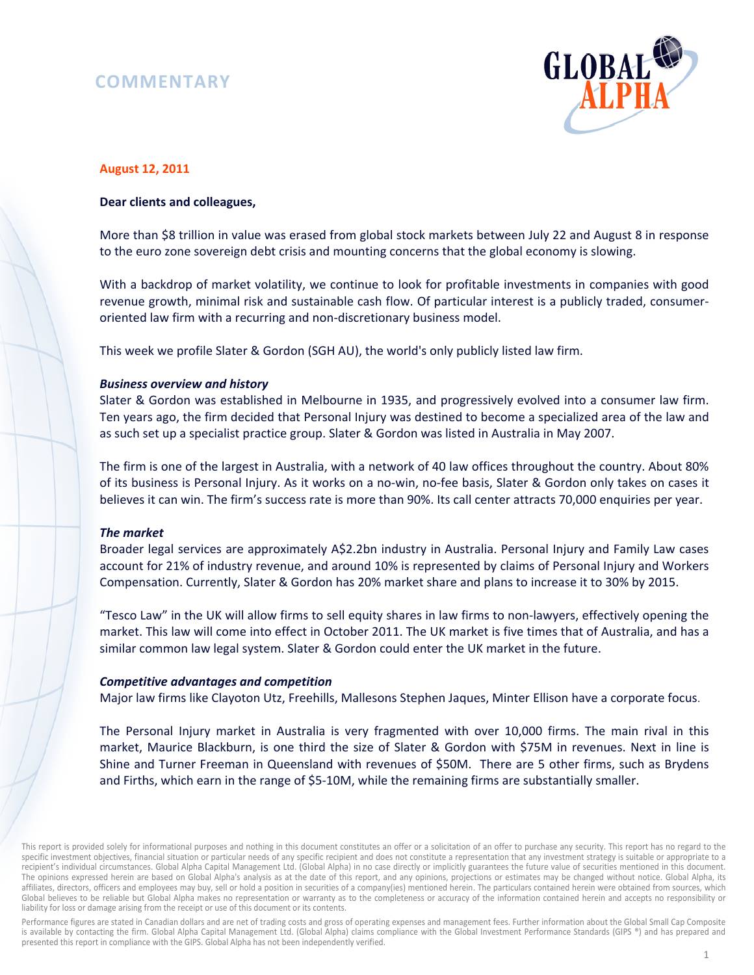# **COMMENTARY**



# **August 12, 2011**

# **Dear clients and colleagues,**

More than \$8 trillion in value was erased from global stock markets between July 22 and August 8 in response to the euro zone sovereign debt crisis and mounting concerns that the global economy is slowing.

With a backdrop of market volatility, we continue to look for profitable investments in companies with good revenue growth, minimal risk and sustainable cash flow. Of particular interest is a publicly traded, consumeroriented law firm with a recurring and non-discretionary business model.

This week we profile Slater & Gordon (SGH AU), the world's only publicly listed law firm.

# *Business overview and history*

Slater & Gordon was established in Melbourne in 1935, and progressively evolved into a consumer law firm. Ten years ago, the firm decided that Personal Injury was destined to become a specialized area of the law and as such set up a specialist practice group. Slater & Gordon was listed in Australia in May 2007.

The firm is one of the largest in Australia, with a network of 40 law offices throughout the country. About 80% of its business is Personal Injury. As it works on a no-win, no-fee basis, Slater & Gordon only takes on cases it believes it can win. The firm's success rate is more than 90%. Its call center attracts 70,000 enquiries per year.

### *The market*

Broader legal services are approximately A\$2.2bn industry in Australia. Personal Injury and Family Law cases account for 21% of industry revenue, and around 10% is represented by claims of Personal Injury and Workers Compensation. Currently, Slater & Gordon has 20% market share and plans to increase it to 30% by 2015.

"Tesco Law" in the UK will allow firms to sell equity shares in law firms to non-lawyers, effectively opening the market. This law will come into effect in October 2011. The UK market is five times that of Australia, and has a similar common law legal system. Slater & Gordon could enter the UK market in the future.

### *Competitive advantages and competition*

Major law firms like Clayoton Utz, Freehills, Mallesons Stephen Jaques, Minter Ellison have a corporate focus.

The Personal Injury market in Australia is very fragmented with over 10,000 firms. The main rival in this market, Maurice Blackburn, is one third the size of Slater & Gordon with \$75M in revenues. Next in line is Shine and Turner Freeman in Queensland with revenues of \$50M. There are 5 other firms, such as Brydens and Firths, which earn in the range of \$5-10M, while the remaining firms are substantially smaller.

This report is provided solely for informational purposes and nothing in this document constitutes an offer or a solicitation of an offer to purchase any security. This report has no regard to the specific investment objectives, financial situation or particular needs of any specific recipient and does not constitute a representation that any investment strategy is suitable or appropriate to a recipient's individual circumstances. Global Alpha Capital Management Ltd. (Global Alpha) in no case directly or implicitly guarantees the future value of securities mentioned in this document. The opinions expressed herein are based on Global Alpha's analysis as at the date of this report, and any opinions, projections or estimates may be changed without notice. Global Alpha, its affiliates, directors, officers and employees may buy, sell or hold a position in securities of a company(ies) mentioned herein. The particulars contained herein were obtained from sources, which Global believes to be reliable but Global Alpha makes no representation or warranty as to the completeness or accuracy of the information contained herein and accepts no responsibility or liability for loss or damage arising from the receipt or use of this document or its contents.

Performance figures are stated in Canadian dollars and are net of trading costs and gross of operating expenses and management fees. Further information about the Global Small Cap Composite is available by contacting the firm. Global Alpha Capital Management Ltd. (Global Alpha) claims compliance with the Global Investment Performance Standards (GIPS ®) and has prepared and presented this report in compliance with the GIPS. Global Alpha has not been independently verified.